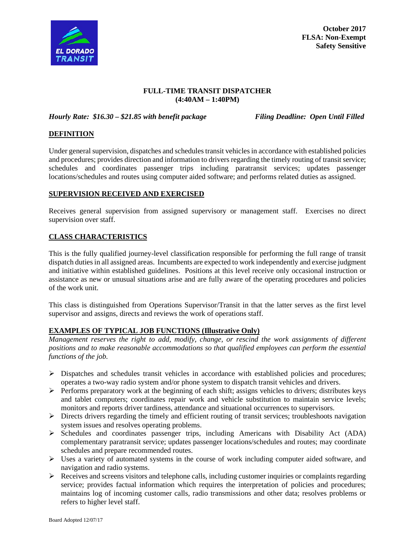

**October 2017 FLSA: Non-Exempt Safety Sensitive**

### **FULL-TIME TRANSIT DISPATCHER (4:40AM – 1:40PM)**

*Hourly Rate: \$16.30 – \$21.85 with benefit package Filing Deadline: Open Until Filled*

### **DEFINITION**

Under general supervision, dispatches and schedules transit vehicles in accordance with established policies and procedures; provides direction and information to drivers regarding the timely routing of transit service; schedules and coordinates passenger trips including paratransit services; updates passenger locations/schedules and routes using computer aided software; and performs related duties as assigned.

#### **SUPERVISION RECEIVED AND EXERCISED**

Receives general supervision from assigned supervisory or management staff. Exercises no direct supervision over staff.

### **CLASS CHARACTERISTICS**

This is the fully qualified journey-level classification responsible for performing the full range of transit dispatch duties in all assigned areas. Incumbents are expected to work independently and exercise judgment and initiative within established guidelines. Positions at this level receive only occasional instruction or assistance as new or unusual situations arise and are fully aware of the operating procedures and policies of the work unit.

This class is distinguished from Operations Supervisor/Transit in that the latter serves as the first level supervisor and assigns, directs and reviews the work of operations staff.

#### **EXAMPLES OF TYPICAL JOB FUNCTIONS (Illustrative Only)**

*Management reserves the right to add, modify, change, or rescind the work assignments of different positions and to make reasonable accommodations so that qualified employees can perform the essential functions of the job.*

- $\triangleright$  Dispatches and schedules transit vehicles in accordance with established policies and procedures; operates a two-way radio system and/or phone system to dispatch transit vehicles and drivers.
- $\triangleright$  Performs preparatory work at the beginning of each shift; assigns vehicles to drivers; distributes keys and tablet computers; coordinates repair work and vehicle substitution to maintain service levels; monitors and reports driver tardiness, attendance and situational occurrences to supervisors.
- $\triangleright$  Directs drivers regarding the timely and efficient routing of transit services; troubleshoots navigation system issues and resolves operating problems.
- $\triangleright$  Schedules and coordinates passenger trips, including Americans with Disability Act (ADA) complementary paratransit service; updates passenger locations/schedules and routes; may coordinate schedules and prepare recommended routes.
- $\triangleright$  Uses a variety of automated systems in the course of work including computer aided software, and navigation and radio systems.
- $\triangleright$  Receives and screens visitors and telephone calls, including customer inquiries or complaints regarding service; provides factual information which requires the interpretation of policies and procedures; maintains log of incoming customer calls, radio transmissions and other data; resolves problems or refers to higher level staff.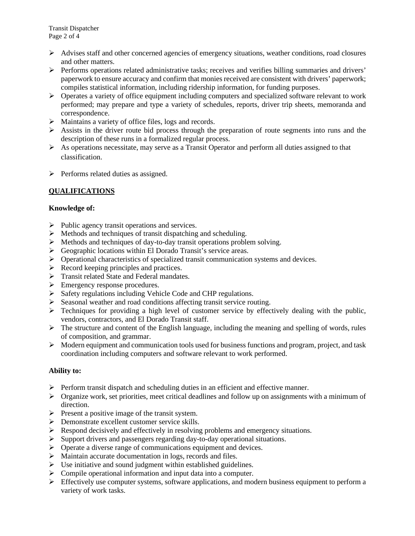- $\triangleright$  Advises staff and other concerned agencies of emergency situations, weather conditions, road closures and other matters.
- $\triangleright$  Performs operations related administrative tasks; receives and verifies billing summaries and drivers' paperwork to ensure accuracy and confirm that monies received are consistent with drivers' paperwork; compiles statistical information, including ridership information, for funding purposes.
- $\triangleright$  Operates a variety of office equipment including computers and specialized software relevant to work performed; may prepare and type a variety of schedules, reports, driver trip sheets, memoranda and correspondence.
- Maintains a variety of office files, logs and records.
- $\triangleright$  Assists in the driver route bid process through the preparation of route segments into runs and the description of these runs in a formalized regular process.
- $\triangleright$  As operations necessitate, may serve as a Transit Operator and perform all duties assigned to that classification.
- $\triangleright$  Performs related duties as assigned.

## **QUALIFICATIONS**

### **Knowledge of:**

- $\triangleright$  Public agency transit operations and services.
- $\triangleright$  Methods and techniques of transit dispatching and scheduling.
- Methods and techniques of day-to-day transit operations problem solving.
- Geographic locations within El Dorado Transit's service areas.
- $\triangleright$  Operational characteristics of specialized transit communication systems and devices.
- $\triangleright$  Record keeping principles and practices.
- > Transit related State and Federal mandates.
- Emergency response procedures.
- $\triangleright$  Safety regulations including Vehicle Code and CHP regulations.
- $\triangleright$  Seasonal weather and road conditions affecting transit service routing.
- $\triangleright$  Techniques for providing a high level of customer service by effectively dealing with the public, vendors, contractors, and El Dorado Transit staff.
- $\triangleright$  The structure and content of the English language, including the meaning and spelling of words, rules of composition, and grammar.
- $\triangleright$  Modern equipment and communication tools used for business functions and program, project, and task coordination including computers and software relevant to work performed.

### **Ability to:**

- $\triangleright$  Perform transit dispatch and scheduling duties in an efficient and effective manner.
- $\triangleright$  Organize work, set priorities, meet critical deadlines and follow up on assignments with a minimum of direction.
- $\triangleright$  Present a positive image of the transit system.
- Demonstrate excellent customer service skills.
- Respond decisively and effectively in resolving problems and emergency situations.
- $\triangleright$  Support drivers and passengers regarding day-to-day operational situations.
- $\triangleright$  Operate a diverse range of communications equipment and devices.
- $\triangleright$  Maintain accurate documentation in logs, records and files.
- $\triangleright$  Use initiative and sound judgment within established guidelines.
- $\triangleright$  Compile operational information and input data into a computer.
- $\triangleright$  Effectively use computer systems, software applications, and modern business equipment to perform a variety of work tasks.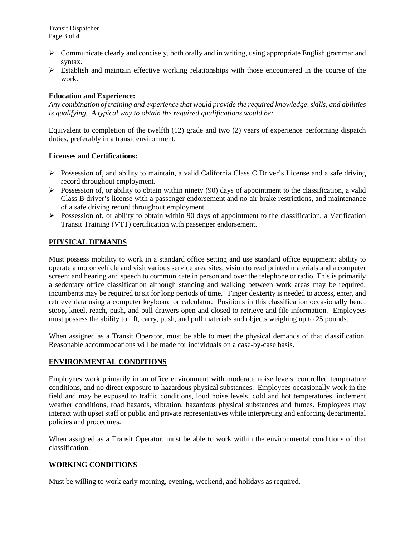- Communicate clearly and concisely, both orally and in writing, using appropriate English grammar and syntax.
- $\triangleright$  Establish and maintain effective working relationships with those encountered in the course of the work.

### **Education and Experience:**

*Any combination of training and experience that would provide the required knowledge, skills, and abilities is qualifying. A typical way to obtain the required qualifications would be:*

Equivalent to completion of the twelfth (12) grade and two (2) years of experience performing dispatch duties, preferably in a transit environment.

### **Licenses and Certifications:**

- $\triangleright$  Possession of, and ability to maintain, a valid California Class C Driver's License and a safe driving record throughout employment.
- $\triangleright$  Possession of, or ability to obtain within ninety (90) days of appointment to the classification, a valid Class B driver's license with a passenger endorsement and no air brake restrictions, and maintenance of a safe driving record throughout employment.
- $\triangleright$  Possession of, or ability to obtain within 90 days of appointment to the classification, a Verification Transit Training (VTT) certification with passenger endorsement.

## **PHYSICAL DEMANDS**

Must possess mobility to work in a standard office setting and use standard office equipment; ability to operate a motor vehicle and visit various service area sites; vision to read printed materials and a computer screen; and hearing and speech to communicate in person and over the telephone or radio. This is primarily a sedentary office classification although standing and walking between work areas may be required; incumbents may be required to sit for long periods of time. Finger dexterity is needed to access, enter, and retrieve data using a computer keyboard or calculator. Positions in this classification occasionally bend, stoop, kneel, reach, push, and pull drawers open and closed to retrieve and file information. Employees must possess the ability to lift, carry, push, and pull materials and objects weighing up to 25 pounds.

When assigned as a Transit Operator, must be able to meet the physical demands of that classification. Reasonable accommodations will be made for individuals on a case-by-case basis.

### **ENVIRONMENTAL CONDITIONS**

Employees work primarily in an office environment with moderate noise levels, controlled temperature conditions, and no direct exposure to hazardous physical substances. Employees occasionally work in the field and may be exposed to traffic conditions, loud noise levels, cold and hot temperatures, inclement weather conditions, road hazards, vibration, hazardous physical substances and fumes. Employees may interact with upset staff or public and private representatives while interpreting and enforcing departmental policies and procedures.

When assigned as a Transit Operator, must be able to work within the environmental conditions of that classification.

### **WORKING CONDITIONS**

Must be willing to work early morning, evening, weekend, and holidays as required.